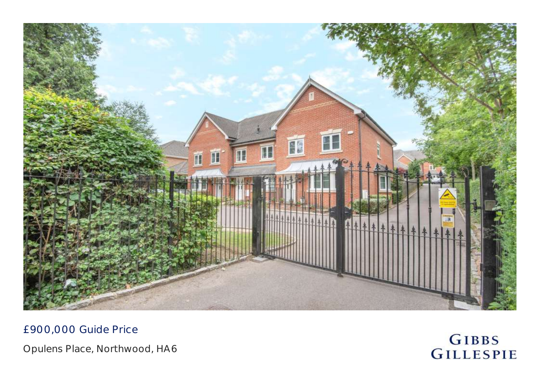

£900,000 Guide Price

Opulens Place, Northwood, HA6

**GIBBS GILLESPIE**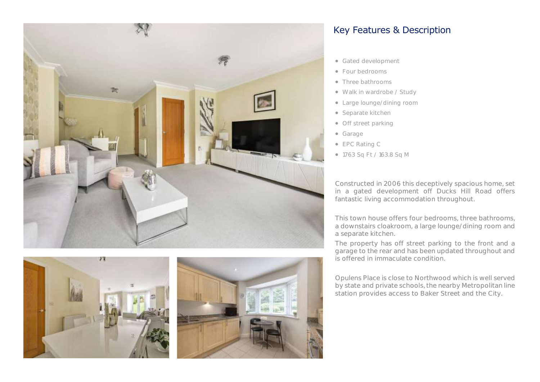



## Key Features & Description

- Gated development
- Four bedrooms
- Three bathrooms
- Walk in wardrobe / Study
- Large lounge/dining room
- Separate kitchen
- Off street parking
- Garage
- EPC Rating C
- 1763 Sq Ft / 163.8 Sq M

Constructed in 2006 this deceptively spacious home, set in a gated development off Ducks Hill Road offers fantastic living accommodation throughout.

This town house offers four bedrooms, three bathrooms, a downstairs cloakroom, a large lounge/dining room and a separate kitchen.

The property has off street parking to the front and a garage to the rear and has been updated throughout and is offered in immaculate condition.

Opulens Place is close to Northwood which is well served by state and private schools, the nearby Metropolitan line station provides access to Baker Street and the City.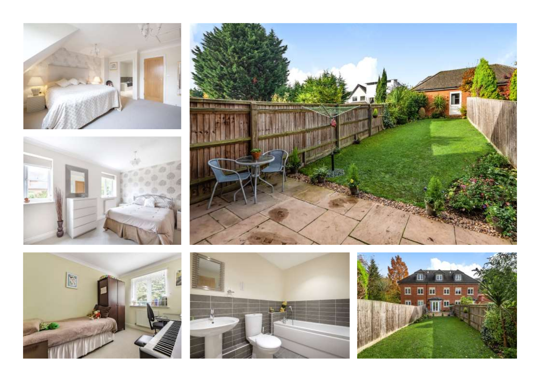